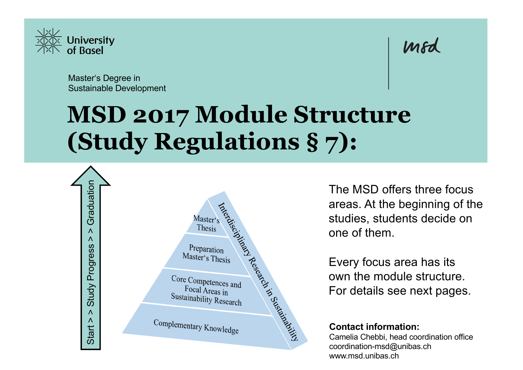

Master's Degree in Sustainable Development

# **MSD 2017 Module Structure (Study Regulations § 7):**



The MSD offers three focus areas. At the beginning of the studies, students decide on one of them.

mod

Every focus area has its own the module structure. For details see next pages.

#### **Contact information:**

Camelia Chebbi, head coordination office coordination-msd@unibas.ch www.msd.unibas.ch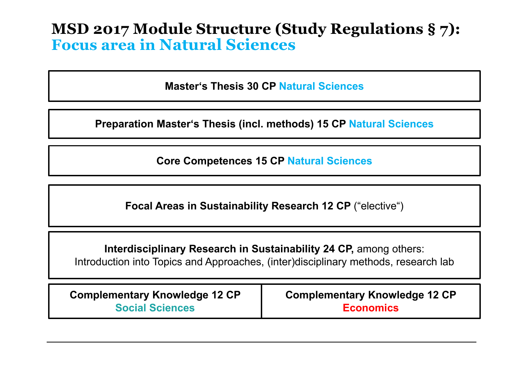# **MSD 2017 Module Structure (Study Regulations § 7): Focus area in Natural Sciences**

**Master's Thesis 30 CP Natural Sciences**

**Preparation Master's Thesis (incl. methods) 15 CP Natural Sciences**

**Core Competences 15 CP Natural Sciences**

**Focal Areas in Sustainability Research 12 CP** ("elective")

**Interdisciplinary Research in Sustainability 24 CP, among others:** Introduction into Topics and Approaches, (inter)disciplinary methods, research lab

**Complementary Knowledge 12 CP Social Sciences**

**Complementary Knowledge 12 CP Economics**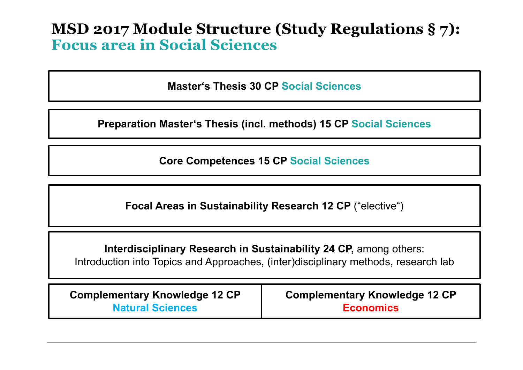# **MSD 2017 Module Structure (Study Regulations § 7): Focus area in Social Sciences**

**Master's Thesis 30 CP Social Sciences**

**Preparation Master's Thesis (incl. methods) 15 CP Social Sciences**

**Core Competences 15 CP Social Sciences**

**Focal Areas in Sustainability Research 12 CP** ("elective")

**Interdisciplinary Research in Sustainability 24 CP, among others:** Introduction into Topics and Approaches, (inter)disciplinary methods, research lab

**Complementary Knowledge 12 CP Natural Sciences**

**Complementary Knowledge 12 CP Economics**